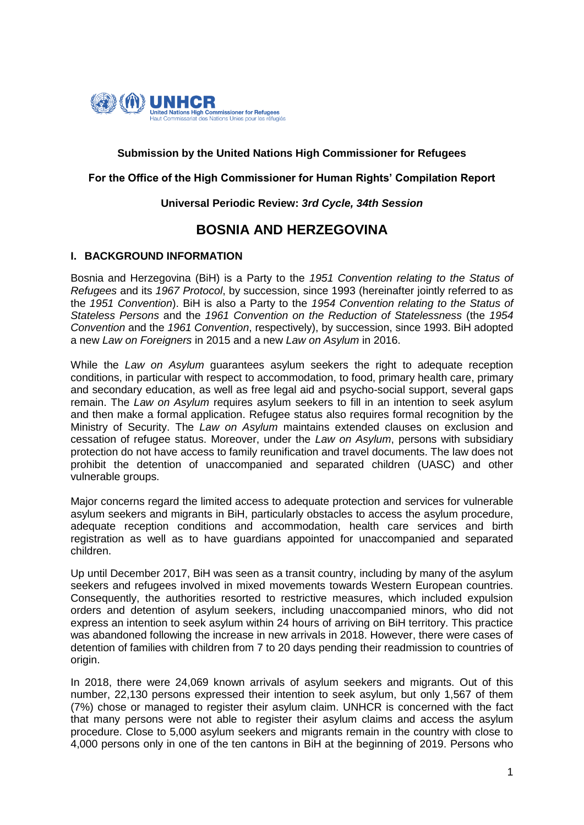

## **Submission by the United Nations High Commissioner for Refugees**

## **For the Office of the High Commissioner for Human Rights' Compilation Report**

## **Universal Periodic Review:** *3rd Cycle, 34th Session*

# **BOSNIA AND HERZEGOVINA**

## **I. BACKGROUND INFORMATION**

Bosnia and Herzegovina (BiH) is a Party to the *1951 Convention relating to the Status of Refugees* and its *1967 Protocol*, by succession, since 1993 (hereinafter jointly referred to as the *1951 Convention*). BiH is also a Party to the *1954 Convention relating to the Status of Stateless Persons* and the *1961 Convention on the Reduction of Statelessness* (the *1954 Convention* and the *1961 Convention*, respectively), by succession, since 1993. BiH adopted a new *Law on Foreigners* in 2015 and a new *Law on Asylum* in 2016.

While the *Law on Asylum* guarantees asylum seekers the right to adequate reception conditions, in particular with respect to accommodation, to food, primary health care, primary and secondary education, as well as free legal aid and psycho-social support, several gaps remain. The *Law on Asylum* requires asylum seekers to fill in an intention to seek asylum and then make a formal application. Refugee status also requires formal recognition by the Ministry of Security. The *Law on Asylum* maintains extended clauses on exclusion and cessation of refugee status. Moreover, under the *Law on Asylum*, persons with subsidiary protection do not have access to family reunification and travel documents. The law does not prohibit the detention of unaccompanied and separated children (UASC) and other vulnerable groups.

Major concerns regard the limited access to adequate protection and services for vulnerable asylum seekers and migrants in BiH, particularly obstacles to access the asylum procedure, adequate reception conditions and accommodation, health care services and birth registration as well as to have guardians appointed for unaccompanied and separated children.

Up until December 2017, BiH was seen as a transit country, including by many of the asylum seekers and refugees involved in mixed movements towards Western European countries. Consequently, the authorities resorted to restrictive measures, which included expulsion orders and detention of asylum seekers, including unaccompanied minors, who did not express an intention to seek asylum within 24 hours of arriving on BiH territory. This practice was abandoned following the increase in new arrivals in 2018. However, there were cases of detention of families with children from 7 to 20 days pending their readmission to countries of origin.

In 2018, there were 24,069 known arrivals of asylum seekers and migrants. Out of this number, 22,130 persons expressed their intention to seek asylum, but only 1,567 of them (7%) chose or managed to register their asylum claim. UNHCR is concerned with the fact that many persons were not able to register their asylum claims and access the asylum procedure. Close to 5,000 asylum seekers and migrants remain in the country with close to 4,000 persons only in one of the ten cantons in BiH at the beginning of 2019. Persons who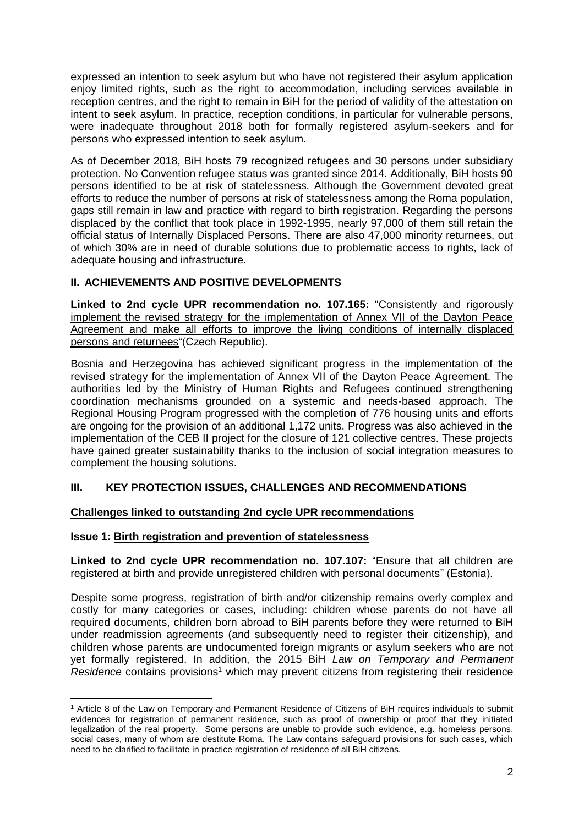expressed an intention to seek asylum but who have not registered their asylum application enjoy limited rights, such as the right to accommodation, including services available in reception centres, and the right to remain in BiH for the period of validity of the attestation on intent to seek asylum. In practice, reception conditions, in particular for vulnerable persons, were inadequate throughout 2018 both for formally registered asylum-seekers and for persons who expressed intention to seek asylum.

As of December 2018, BiH hosts 79 recognized refugees and 30 persons under subsidiary protection. No Convention refugee status was granted since 2014. Additionally, BiH hosts 90 persons identified to be at risk of statelessness. Although the Government devoted great efforts to reduce the number of persons at risk of statelessness among the Roma population, gaps still remain in law and practice with regard to birth registration. Regarding the persons displaced by the conflict that took place in 1992-1995, nearly 97,000 of them still retain the official status of Internally Displaced Persons. There are also 47,000 minority returnees, out of which 30% are in need of durable solutions due to problematic access to rights, lack of adequate housing and infrastructure.

## **II. ACHIEVEMENTS AND POSITIVE DEVELOPMENTS**

**Linked to 2nd cycle UPR recommendation no. 107.165:** "Consistently and rigorously implement the revised strategy for the implementation of Annex VII of the Dayton Peace Agreement and make all efforts to improve the living conditions of internally displaced persons and returnees"(Czech Republic).

Bosnia and Herzegovina has achieved significant progress in the implementation of the revised strategy for the implementation of Annex VII of the Dayton Peace Agreement. The authorities led by the Ministry of Human Rights and Refugees continued strengthening coordination mechanisms grounded on a systemic and needs-based approach. The Regional Housing Program progressed with the completion of 776 housing units and efforts are ongoing for the provision of an additional 1,172 units. Progress was also achieved in the implementation of the CEB II project for the closure of 121 collective centres. These projects have gained greater sustainability thanks to the inclusion of social integration measures to complement the housing solutions.

## **III. KEY PROTECTION ISSUES, CHALLENGES AND RECOMMENDATIONS**

## **Challenges linked to outstanding 2nd cycle UPR recommendations**

## **Issue 1: Birth registration and prevention of statelessness**

1

**Linked to 2nd cycle UPR recommendation no. 107.107:** "Ensure that all children are registered at birth and provide unregistered children with personal documents" (Estonia).

Despite some progress, registration of birth and/or citizenship remains overly complex and costly for many categories or cases, including: children whose parents do not have all required documents, children born abroad to BiH parents before they were returned to BiH under readmission agreements (and subsequently need to register their citizenship), and children whose parents are undocumented foreign migrants or asylum seekers who are not yet formally registered. In addition, the 2015 BiH *Law on Temporary and Permanent Residence* contains provisions<sup>1</sup> which may prevent citizens from registering their residence

<sup>1</sup> Article 8 of the Law on Temporary and Permanent Residence of Citizens of BiH requires individuals to submit evidences for registration of permanent residence, such as proof of ownership or proof that they initiated legalization of the real property. Some persons are unable to provide such evidence, e.g. homeless persons, social cases, many of whom are destitute Roma. The Law contains safeguard provisions for such cases, which need to be clarified to facilitate in practice registration of residence of all BiH citizens.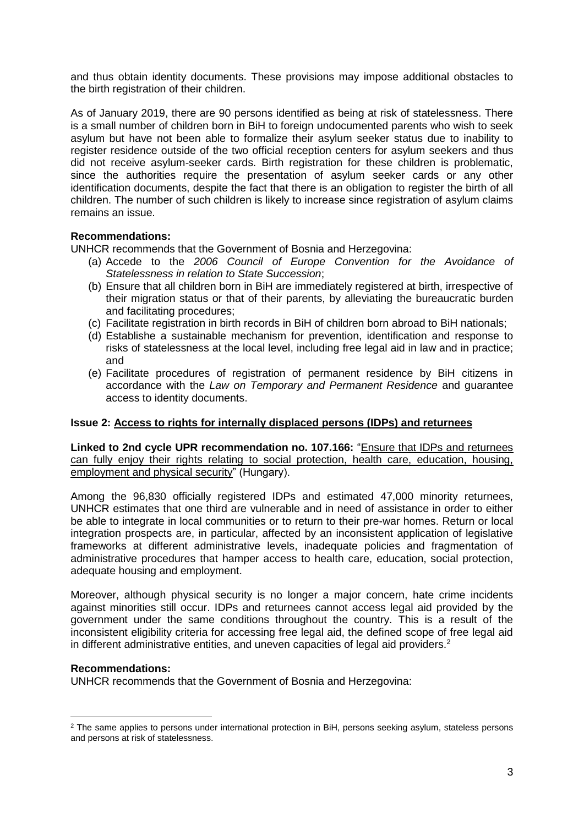and thus obtain identity documents. These provisions may impose additional obstacles to the birth registration of their children.

As of January 2019, there are 90 persons identified as being at risk of statelessness. There is a small number of children born in BiH to foreign undocumented parents who wish to seek asylum but have not been able to formalize their asylum seeker status due to inability to register residence outside of the two official reception centers for asylum seekers and thus did not receive asylum-seeker cards. Birth registration for these children is problematic, since the authorities require the presentation of asylum seeker cards or any other identification documents, despite the fact that there is an obligation to register the birth of all children. The number of such children is likely to increase since registration of asylum claims remains an issue.

## **Recommendations:**

UNHCR recommends that the Government of Bosnia and Herzegovina:

- (a) Accede to the *2006 Council of Europe Convention for the Avoidance of Statelessness in relation to State Succession*;
- (b) Ensure that all children born in BiH are immediately registered at birth, irrespective of their migration status or that of their parents, by alleviating the bureaucratic burden and facilitating procedures;
- (c) Facilitate registration in birth records in BiH of children born abroad to BiH nationals;
- (d) Establishe a sustainable mechanism for prevention, identification and response to risks of statelessness at the local level, including free legal aid in law and in practice; and
- (e) Facilitate procedures of registration of permanent residence by BiH citizens in accordance with the *Law on Temporary and Permanent Residence* and guarantee access to identity documents.

## **Issue 2: Access to rights for internally displaced persons (IDPs) and returnees**

**Linked to 2nd cycle UPR recommendation no. 107.166:** "Ensure that IDPs and returnees can fully enjoy their rights relating to social protection, health care, education, housing, employment and physical security" (Hungary).

Among the 96,830 officially registered IDPs and estimated 47,000 minority returnees, UNHCR estimates that one third are vulnerable and in need of assistance in order to either be able to integrate in local communities or to return to their pre-war homes. Return or local integration prospects are, in particular, affected by an inconsistent application of legislative frameworks at different administrative levels, inadequate policies and fragmentation of administrative procedures that hamper access to health care, education, social protection, adequate housing and employment.

Moreover, although physical security is no longer a major concern, hate crime incidents against minorities still occur. IDPs and returnees cannot access legal aid provided by the government under the same conditions throughout the country. This is a result of the inconsistent eligibility criteria for accessing free legal aid, the defined scope of free legal aid in different administrative entities, and uneven capacities of legal aid providers.<sup>2</sup>

### **Recommendations:**

**.** 

UNHCR recommends that the Government of Bosnia and Herzegovina:

<sup>&</sup>lt;sup>2</sup> The same applies to persons under international protection in BiH, persons seeking asylum, stateless persons and persons at risk of statelessness.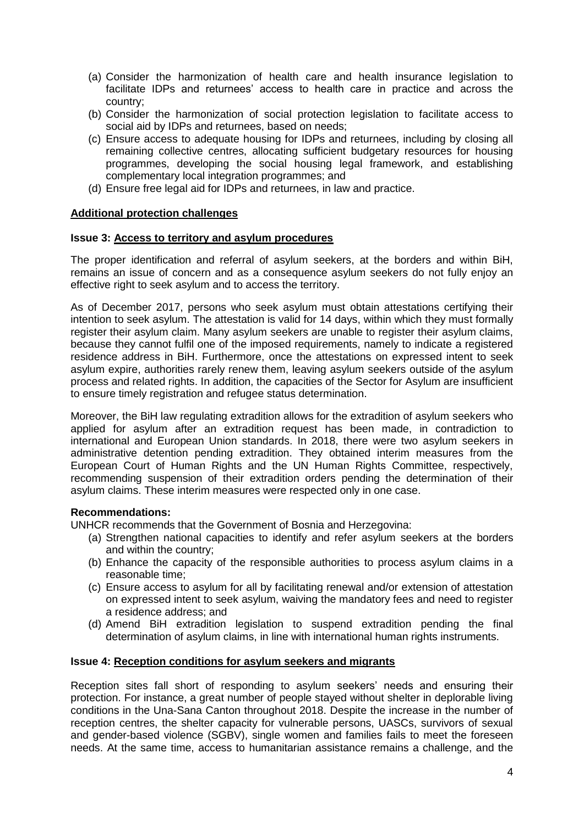- (a) Consider the harmonization of health care and health insurance legislation to facilitate IDPs and returnees' access to health care in practice and across the country;
- (b) Consider the harmonization of social protection legislation to facilitate access to social aid by IDPs and returnees, based on needs:
- (c) Ensure access to adequate housing for IDPs and returnees, including by closing all remaining collective centres, allocating sufficient budgetary resources for housing programmes, developing the social housing legal framework, and establishing complementary local integration programmes; and
- (d) Ensure free legal aid for IDPs and returnees, in law and practice.

## **Additional protection challenges**

### **Issue 3: Access to territory and asylum procedures**

The proper identification and referral of asylum seekers, at the borders and within BiH, remains an issue of concern and as a consequence asylum seekers do not fully enjoy an effective right to seek asylum and to access the territory.

As of December 2017, persons who seek asylum must obtain attestations certifying their intention to seek asylum. The attestation is valid for 14 days, within which they must formally register their asylum claim. Many asylum seekers are unable to register their asylum claims, because they cannot fulfil one of the imposed requirements, namely to indicate a registered residence address in BiH. Furthermore, once the attestations on expressed intent to seek asylum expire, authorities rarely renew them, leaving asylum seekers outside of the asylum process and related rights. In addition, the capacities of the Sector for Asylum are insufficient to ensure timely registration and refugee status determination.

Moreover, the BiH law regulating extradition allows for the extradition of asylum seekers who applied for asylum after an extradition request has been made, in contradiction to international and European Union standards. In 2018, there were two asylum seekers in administrative detention pending extradition. They obtained interim measures from the European Court of Human Rights and the UN Human Rights Committee, respectively, recommending suspension of their extradition orders pending the determination of their asylum claims. These interim measures were respected only in one case.

### **Recommendations:**

UNHCR recommends that the Government of Bosnia and Herzegovina:

- (a) Strengthen national capacities to identify and refer asylum seekers at the borders and within the country;
- (b) Enhance the capacity of the responsible authorities to process asylum claims in a reasonable time;
- (c) Ensure access to asylum for all by facilitating renewal and/or extension of attestation on expressed intent to seek asylum, waiving the mandatory fees and need to register a residence address; and
- (d) Amend BiH extradition legislation to suspend extradition pending the final determination of asylum claims, in line with international human rights instruments.

### **Issue 4: Reception conditions for asylum seekers and migrants**

Reception sites fall short of responding to asylum seekers' needs and ensuring their protection. For instance, a great number of people stayed without shelter in deplorable living conditions in the Una-Sana Canton throughout 2018. Despite the increase in the number of reception centres, the shelter capacity for vulnerable persons, UASCs, survivors of sexual and gender-based violence (SGBV), single women and families fails to meet the foreseen needs. At the same time, access to humanitarian assistance remains a challenge, and the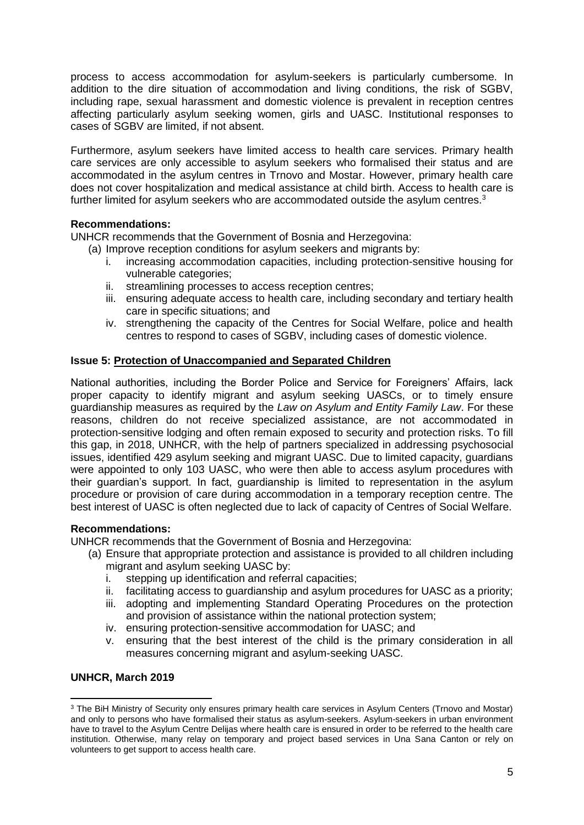process to access accommodation for asylum-seekers is particularly cumbersome. In addition to the dire situation of accommodation and living conditions, the risk of SGBV, including rape, sexual harassment and domestic violence is prevalent in reception centres affecting particularly asylum seeking women, girls and UASC. Institutional responses to cases of SGBV are limited, if not absent.

Furthermore, asylum seekers have limited access to health care services. Primary health care services are only accessible to asylum seekers who formalised their status and are accommodated in the asylum centres in Trnovo and Mostar. However, primary health care does not cover hospitalization and medical assistance at child birth. Access to health care is further limited for asylum seekers who are accommodated outside the asylum centres.<sup>3</sup>

## **Recommendations:**

UNHCR recommends that the Government of Bosnia and Herzegovina:

- (a) Improve reception conditions for asylum seekers and migrants by:
	- i. increasing accommodation capacities, including protection-sensitive housing for vulnerable categories;
	- ii. streamlining processes to access reception centres;
	- iii. ensuring adequate access to health care, including secondary and tertiary health care in specific situations; and
	- iv. strengthening the capacity of the Centres for Social Welfare, police and health centres to respond to cases of SGBV, including cases of domestic violence.

## **Issue 5: Protection of Unaccompanied and Separated Children**

National authorities, including the Border Police and Service for Foreigners' Affairs, lack proper capacity to identify migrant and asylum seeking UASCs, or to timely ensure guardianship measures as required by the *Law on Asylum and Entity Family Law*. For these reasons, children do not receive specialized assistance, are not accommodated in protection-sensitive lodging and often remain exposed to security and protection risks. To fill this gap, in 2018, UNHCR, with the help of partners specialized in addressing psychosocial issues, identified 429 asylum seeking and migrant UASC. Due to limited capacity, guardians were appointed to only 103 UASC, who were then able to access asylum procedures with their guardian's support. In fact, guardianship is limited to representation in the asylum procedure or provision of care during accommodation in a temporary reception centre. The best interest of UASC is often neglected due to lack of capacity of Centres of Social Welfare.

## **Recommendations:**

UNHCR recommends that the Government of Bosnia and Herzegovina:

- (a) Ensure that appropriate protection and assistance is provided to all children including migrant and asylum seeking UASC by:
	- i. stepping up identification and referral capacities;
	- ii. facilitating access to guardianship and asylum procedures for UASC as a priority;
	- iii. adopting and implementing Standard Operating Procedures on the protection and provision of assistance within the national protection system;
	- iv. ensuring protection-sensitive accommodation for UASC; and
	- v. ensuring that the best interest of the child is the primary consideration in all measures concerning migrant and asylum-seeking UASC.

## **UNHCR, March 2019**

<sup>1</sup> <sup>3</sup> The BiH Ministry of Security only ensures primary health care services in Asylum Centers (Trnovo and Mostar) and only to persons who have formalised their status as asylum-seekers. Asylum-seekers in urban environment have to travel to the Asylum Centre Delijas where health care is ensured in order to be referred to the health care institution. Otherwise, many relay on temporary and project based services in Una Sana Canton or rely on volunteers to get support to access health care.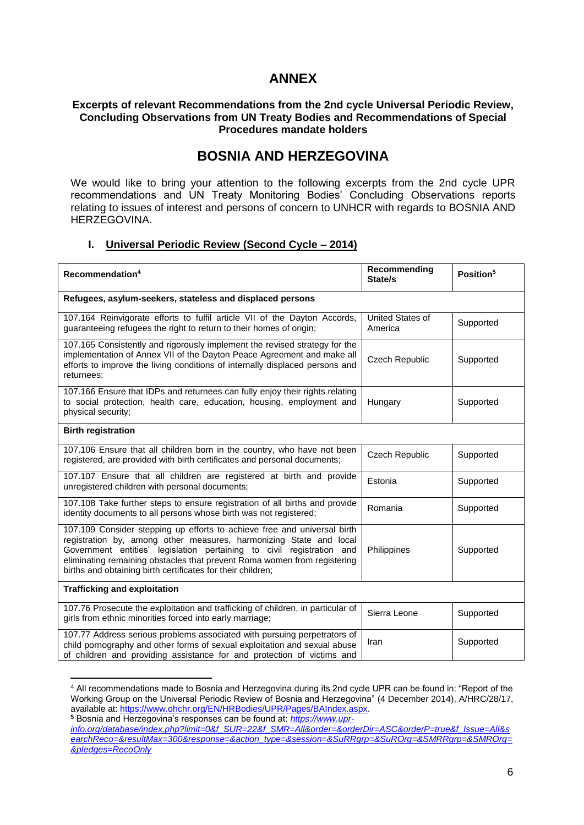# **ANNEX**

### **Excerpts of relevant Recommendations from the 2nd cycle Universal Periodic Review, Concluding Observations from UN Treaty Bodies and Recommendations of Special Procedures mandate holders**

# **BOSNIA AND HERZEGOVINA**

We would like to bring your attention to the following excerpts from the 2nd cycle UPR recommendations and UN Treaty Monitoring Bodies' Concluding Observations reports relating to issues of interest and persons of concern to UNHCR with regards to BOSNIA AND HERZEGOVINA.

## **I. Universal Periodic Review (Second Cycle – 2014)**

| Recommendation <sup>4</sup>                                                                                                                                                                                                                                                                                                                                        | Recommending<br>State/s     | Position <sup>5</sup> |  |  |
|--------------------------------------------------------------------------------------------------------------------------------------------------------------------------------------------------------------------------------------------------------------------------------------------------------------------------------------------------------------------|-----------------------------|-----------------------|--|--|
| Refugees, asylum-seekers, stateless and displaced persons                                                                                                                                                                                                                                                                                                          |                             |                       |  |  |
| 107.164 Reinvigorate efforts to fulfil article VII of the Dayton Accords,<br>guaranteeing refugees the right to return to their homes of origin;                                                                                                                                                                                                                   | United States of<br>America | Supported             |  |  |
| 107.165 Consistently and rigorously implement the revised strategy for the<br>implementation of Annex VII of the Dayton Peace Agreement and make all<br>efforts to improve the living conditions of internally displaced persons and<br>returnees:                                                                                                                 | Czech Republic              | Supported             |  |  |
| 107.166 Ensure that IDPs and returnees can fully enjoy their rights relating<br>to social protection, health care, education, housing, employment and<br>physical security;                                                                                                                                                                                        | Hungary                     | Supported             |  |  |
| <b>Birth registration</b>                                                                                                                                                                                                                                                                                                                                          |                             |                       |  |  |
| 107.106 Ensure that all children born in the country, who have not been<br>registered, are provided with birth certificates and personal documents;                                                                                                                                                                                                                | <b>Czech Republic</b>       | Supported             |  |  |
| 107.107 Ensure that all children are registered at birth and provide<br>unregistered children with personal documents;                                                                                                                                                                                                                                             | Estonia                     | Supported             |  |  |
| 107.108 Take further steps to ensure registration of all births and provide<br>identity documents to all persons whose birth was not registered;                                                                                                                                                                                                                   | Romania                     | Supported             |  |  |
| 107.109 Consider stepping up efforts to achieve free and universal birth<br>registration by, among other measures, harmonizing State and local<br>Government entities' legislation pertaining to civil registration and<br>eliminating remaining obstacles that prevent Roma women from registering<br>births and obtaining birth certificates for their children; | Philippines                 | Supported             |  |  |
| <b>Trafficking and exploitation</b>                                                                                                                                                                                                                                                                                                                                |                             |                       |  |  |
| 107.76 Prosecute the exploitation and trafficking of children, in particular of<br>girls from ethnic minorities forced into early marriage;                                                                                                                                                                                                                        | Sierra Leone                | Supported             |  |  |
| 107.77 Address serious problems associated with pursuing perpetrators of<br>child pornography and other forms of sexual exploitation and sexual abuse<br>of children and providing assistance for and protection of victims and                                                                                                                                    | Iran                        | Supported             |  |  |

<sup>4</sup> All recommendations made to Bosnia and Herzegovina during its 2nd cycle UPR can be found in: "Report of the Working Group on the Universal Periodic Review of Bosnia and Herzegovina" (4 December 2014), A/HRC/28/17, available at: [https://www.ohchr.org/EN/HRBodies/UPR/Pages/BAIndex.aspx.](https://www.ohchr.org/EN/HRBodies/UPR/Pages/BAIndex.aspx)

**.** 

**<sup>5</sup>** Bosnia and Herzegovina's responses can be found at: *https://www.uprinfo.org/database/index.php?limit=0&f\_SUR=22&f\_SMR=All&order=&orderDir=ASC&orderP=true&f\_Issue=All&s earchReco=&resultMax=300&response=&action\_type=&session=&SuRRgrp=&SuROrg=&SMRRgrp=&SMROrg= &pledges=RecoOnly*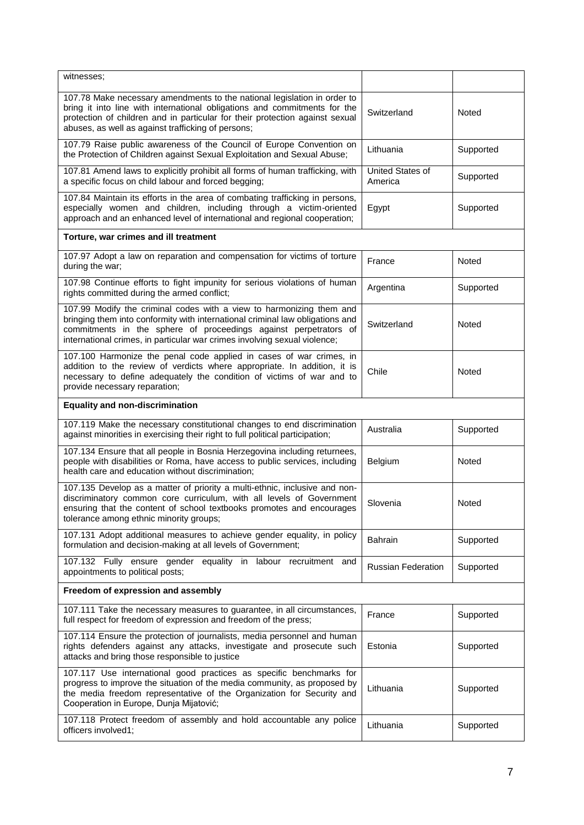| witnesses;                                                                                                                                                                                                                                                                                             |                             |           |  |  |
|--------------------------------------------------------------------------------------------------------------------------------------------------------------------------------------------------------------------------------------------------------------------------------------------------------|-----------------------------|-----------|--|--|
| 107.78 Make necessary amendments to the national legislation in order to<br>bring it into line with international obligations and commitments for the<br>protection of children and in particular for their protection against sexual<br>abuses, as well as against trafficking of persons;            | Switzerland                 | Noted     |  |  |
| 107.79 Raise public awareness of the Council of Europe Convention on<br>the Protection of Children against Sexual Exploitation and Sexual Abuse;                                                                                                                                                       | Lithuania                   | Supported |  |  |
| 107.81 Amend laws to explicitly prohibit all forms of human trafficking, with<br>a specific focus on child labour and forced begging;                                                                                                                                                                  | United States of<br>America | Supported |  |  |
| 107.84 Maintain its efforts in the area of combating trafficking in persons,<br>especially women and children, including through a victim-oriented<br>approach and an enhanced level of international and regional cooperation;                                                                        | Egypt                       | Supported |  |  |
| Torture, war crimes and ill treatment                                                                                                                                                                                                                                                                  |                             |           |  |  |
| 107.97 Adopt a law on reparation and compensation for victims of torture<br>during the war;                                                                                                                                                                                                            | France                      | Noted     |  |  |
| 107.98 Continue efforts to fight impunity for serious violations of human<br>rights committed during the armed conflict;                                                                                                                                                                               | Argentina                   | Supported |  |  |
| 107.99 Modify the criminal codes with a view to harmonizing them and<br>bringing them into conformity with international criminal law obligations and<br>commitments in the sphere of proceedings against perpetrators of<br>international crimes, in particular war crimes involving sexual violence; | Switzerland                 | Noted     |  |  |
| 107.100 Harmonize the penal code applied in cases of war crimes, in<br>addition to the review of verdicts where appropriate. In addition, it is<br>necessary to define adequately the condition of victims of war and to<br>provide necessary reparation;                                              | Chile                       | Noted     |  |  |
| <b>Equality and non-discrimination</b>                                                                                                                                                                                                                                                                 |                             |           |  |  |
| 107.119 Make the necessary constitutional changes to end discrimination<br>against minorities in exercising their right to full political participation;                                                                                                                                               | Australia                   | Supported |  |  |
| 107.134 Ensure that all people in Bosnia Herzegovina including returnees,<br>people with disabilities or Roma, have access to public services, including<br>health care and education without discrimination;                                                                                          | Belgium                     | Noted     |  |  |
| 107.135 Develop as a matter of priority a multi-ethnic, inclusive and non-<br>discriminatory common core curriculum, with all levels of Government<br>ensuring that the content of school textbooks promotes and encourages<br>tolerance among ethnic minority groups;                                 | Slovenia                    | Noted     |  |  |
| 107.131 Adopt additional measures to achieve gender equality, in policy<br>formulation and decision-making at all levels of Government;                                                                                                                                                                | <b>Bahrain</b>              | Supported |  |  |
| 107.132 Fully ensure gender equality in labour recruitment and<br>appointments to political posts;                                                                                                                                                                                                     | <b>Russian Federation</b>   | Supported |  |  |
| Freedom of expression and assembly                                                                                                                                                                                                                                                                     |                             |           |  |  |
| 107.111 Take the necessary measures to guarantee, in all circumstances,<br>full respect for freedom of expression and freedom of the press;                                                                                                                                                            | France                      | Supported |  |  |
| 107.114 Ensure the protection of journalists, media personnel and human<br>rights defenders against any attacks, investigate and prosecute such<br>attacks and bring those responsible to justice                                                                                                      | Estonia                     | Supported |  |  |
| 107.117 Use international good practices as specific benchmarks for<br>progress to improve the situation of the media community, as proposed by<br>the media freedom representative of the Organization for Security and<br>Cooperation in Europe, Dunja Mijatović;                                    | Lithuania                   | Supported |  |  |
| 107.118 Protect freedom of assembly and hold accountable any police<br>officers involved1;                                                                                                                                                                                                             | Lithuania                   | Supported |  |  |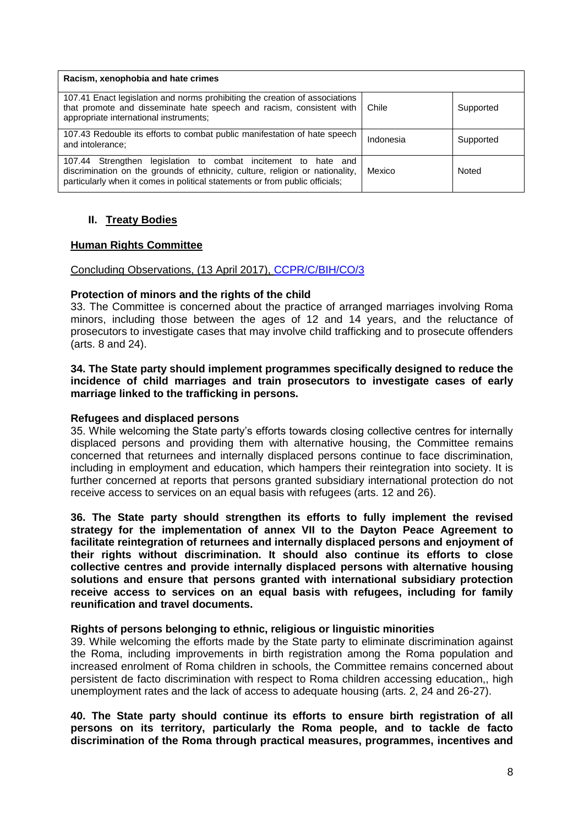| Racism, xenophobia and hate crimes                                                                                                                                                                                                 |           |           |
|------------------------------------------------------------------------------------------------------------------------------------------------------------------------------------------------------------------------------------|-----------|-----------|
| 107.41 Enact legislation and norms prohibiting the creation of associations<br>that promote and disseminate hate speech and racism, consistent with<br>appropriate international instruments;                                      | Chile     | Supported |
| 107.43 Redouble its efforts to combat public manifestation of hate speech<br>and intolerance;                                                                                                                                      | Indonesia | Supported |
| legislation to combat incitement to hate and<br>107.44 Strengthen<br>discrimination on the grounds of ethnicity, culture, religion or nationality,<br>particularly when it comes in political statements or from public officials; | Mexico    | Noted     |

## **II. Treaty Bodies**

## **Human Rights Committee**

#### Concluding Observations, (13 April 2017), [CCPR/C/BIH/CO/3](https://tbinternet.ohchr.org/_layouts/treatybodyexternal/Download.aspx?symbolno=CCPR/C/BIH/CO/3&Lang=En)

### **Protection of minors and the rights of the child**

33. The Committee is concerned about the practice of arranged marriages involving Roma minors, including those between the ages of 12 and 14 years, and the reluctance of prosecutors to investigate cases that may involve child trafficking and to prosecute offenders (arts. 8 and 24).

### **34. The State party should implement programmes specifically designed to reduce the incidence of child marriages and train prosecutors to investigate cases of early marriage linked to the trafficking in persons.**

### **Refugees and displaced persons**

35. While welcoming the State party's efforts towards closing collective centres for internally displaced persons and providing them with alternative housing, the Committee remains concerned that returnees and internally displaced persons continue to face discrimination, including in employment and education, which hampers their reintegration into society. It is further concerned at reports that persons granted subsidiary international protection do not receive access to services on an equal basis with refugees (arts. 12 and 26).

**36. The State party should strengthen its efforts to fully implement the revised strategy for the implementation of annex VII to the Dayton Peace Agreement to facilitate reintegration of returnees and internally displaced persons and enjoyment of their rights without discrimination. It should also continue its efforts to close collective centres and provide internally displaced persons with alternative housing solutions and ensure that persons granted with international subsidiary protection receive access to services on an equal basis with refugees, including for family reunification and travel documents.**

### **Rights of persons belonging to ethnic, religious or linguistic minorities**

39. While welcoming the efforts made by the State party to eliminate discrimination against the Roma, including improvements in birth registration among the Roma population and increased enrolment of Roma children in schools, the Committee remains concerned about persistent de facto discrimination with respect to Roma children accessing education,, high unemployment rates and the lack of access to adequate housing (arts. 2, 24 and 26-27).

## **40. The State party should continue its efforts to ensure birth registration of all persons on its territory, particularly the Roma people, and to tackle de facto discrimination of the Roma through practical measures, programmes, incentives and**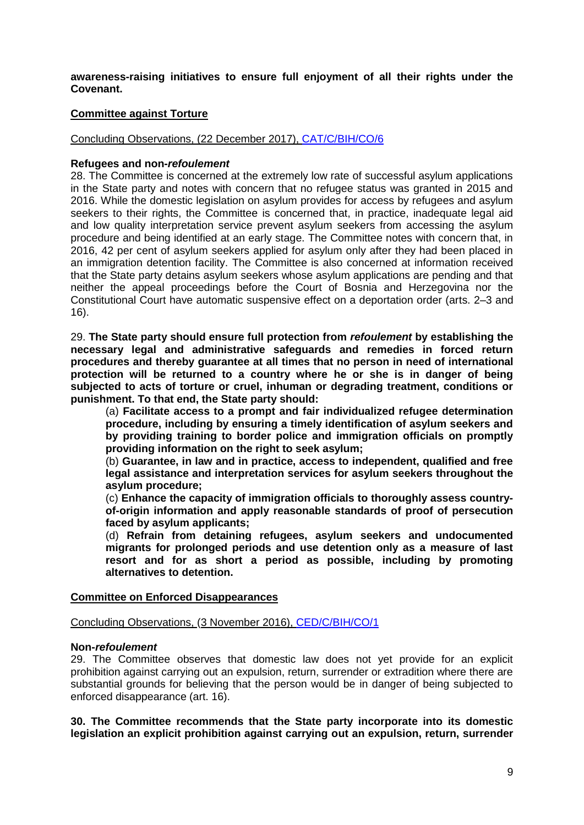**awareness-raising initiatives to ensure full enjoyment of all their rights under the Covenant.**

## **Committee against Torture**

## Concluding Observations, (22 December 2017), [CAT/C/BIH/CO/6](https://tbinternet.ohchr.org/_layouts/treatybodyexternal/Download.aspx?symbolno=CAT/C/BIH/CO/6&Lang=En)

### **Refugees and non-***refoulement*

28. The Committee is concerned at the extremely low rate of successful asylum applications in the State party and notes with concern that no refugee status was granted in 2015 and 2016. While the domestic legislation on asylum provides for access by refugees and asylum seekers to their rights, the Committee is concerned that, in practice, inadequate legal aid and low quality interpretation service prevent asylum seekers from accessing the asylum procedure and being identified at an early stage. The Committee notes with concern that, in 2016, 42 per cent of asylum seekers applied for asylum only after they had been placed in an immigration detention facility. The Committee is also concerned at information received that the State party detains asylum seekers whose asylum applications are pending and that neither the appeal proceedings before the Court of Bosnia and Herzegovina nor the Constitutional Court have automatic suspensive effect on a deportation order (arts. 2–3 and 16).

29. **The State party should ensure full protection from** *refoulement* **by establishing the necessary legal and administrative safeguards and remedies in forced return procedures and thereby guarantee at all times that no person in need of international protection will be returned to a country where he or she is in danger of being subjected to acts of torture or cruel, inhuman or degrading treatment, conditions or punishment. To that end, the State party should:** 

(a) **Facilitate access to a prompt and fair individualized refugee determination procedure, including by ensuring a timely identification of asylum seekers and by providing training to border police and immigration officials on promptly providing information on the right to seek asylum;**

(b) **Guarantee, in law and in practice, access to independent, qualified and free legal assistance and interpretation services for asylum seekers throughout the asylum procedure;** 

(c) **Enhance the capacity of immigration officials to thoroughly assess countryof-origin information and apply reasonable standards of proof of persecution faced by asylum applicants;** 

(d) **Refrain from detaining refugees, asylum seekers and undocumented migrants for prolonged periods and use detention only as a measure of last resort and for as short a period as possible, including by promoting alternatives to detention.**

### **Committee on Enforced Disappearances**

Concluding Observations, (3 November 2016), [CED/C/BIH/CO/1](https://tbinternet.ohchr.org/_layouts/treatybodyexternal/Download.aspx?symbolno=CED/C/BIH/CO/1&Lang=En)

### **Non-***refoulement*

29. The Committee observes that domestic law does not yet provide for an explicit prohibition against carrying out an expulsion, return, surrender or extradition where there are substantial grounds for believing that the person would be in danger of being subjected to enforced disappearance (art. 16).

**30. The Committee recommends that the State party incorporate into its domestic legislation an explicit prohibition against carrying out an expulsion, return, surrender**